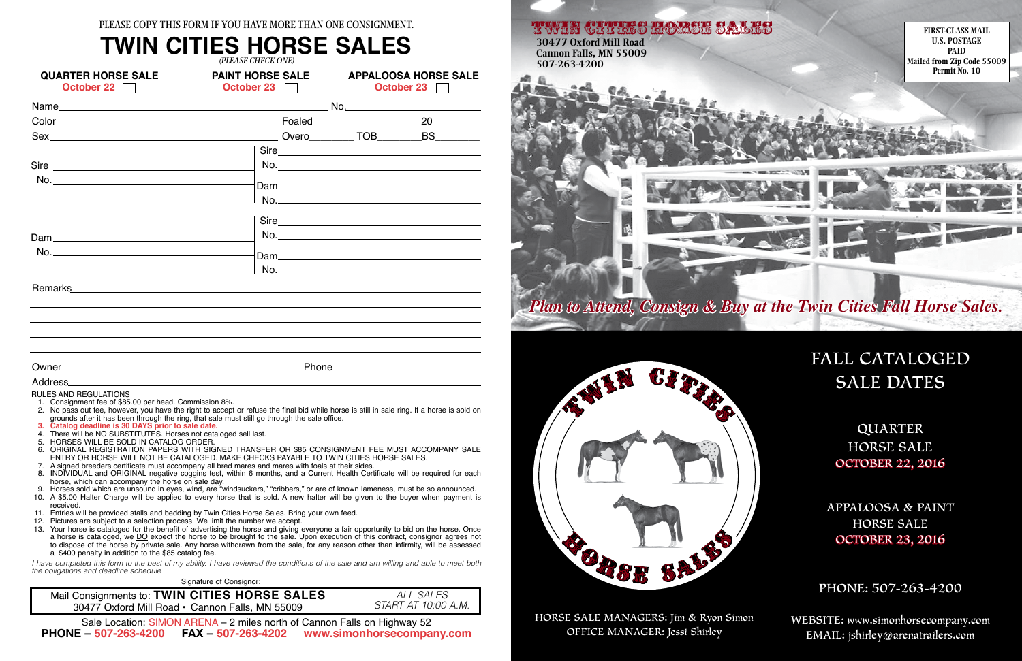**FIRST-CLASS MAIL U.S. POSTAGE PAID Mailed from Zip Code 55009 Permit No. 10**

TWIN CITIES EMPERE SALES **30477 Oxford Mill Road Cannon Falls, MN 55009 507-263-4200**

*Plan to Attend, Consign & Buy at the Twin Cities Fall Horse Sales.*

SALE **BRSE** 

> WEBSITE: www.simonhorsecompany.com Email: jshirley@arenatrailers.com

## FALL CATALOGED SALE DATES

QUARTER HORSE SALE OCTOBER 22, 2016

APPALOOSA & PAINT HORSE SALE OCTOBER 23, 2016

PHONE: 507-263-4200

HORSE SALE MANAGERS: Jim & Ryon Simon OFFICE MANAGER: Jessi Shirley



- RULES AND REGULATIONS 1. Consignment fee of \$85.00 per head. Commission 8%.
- 2. No pass out fee, however, you have the right to accept or refuse the final bid while horse is still in sale ring. If a horse is sold on grounds after it has been through the ring, that sale must still go through the sale office.
- **3. Catalog deadline is 30 DAYS prior to sale date.**
- 4. There will be NO SUBSTITUTES. Horses not cataloged sell last.
- 5. HORSES WILL BE SOLD IN CATALOG ORDER.
- 6. ORIGINAL REGISTRATION PAPERS WITH SIGNED TRANSFER <u>OR</u> \$85 CONSIGNMENT FEE MUST ACCOMPANY SALE ENTRY OR HORSE WILL NOT BE CATALOGED. MAKE CHECKS PAYABLE TO TWIN CITIES HORSE SALES.
- 7. A signed breeders certificate must accompany all bred mares and mares with foals at their sides.
- 8. INDIVIDUAL and ORIGINAL negative coggins test, within 6 months, and a <u>Current Health Certificate</u> will be required for each horse, which can accompany the horse on sale day.
- 9. Horses sold which are unsound in eyes, wind, are "windsuckers," "cribbers," or are of known lameness, must be so announced.
- 10. A \$5.00 Halter Charge will be applied to every horse that is sold. A new halter will be given to the buyer when payment is received.
- 11. Entries will be provided stalls and bedding by Twin Cities Horse Sales. Bring your own feed.
- 12. Pictures are subject to a selection process. We limit the number we accept.
- 13. Your horse is cataloged for the benefit of advertising the horse and giving everyone a fair opportunity to bid on the horse. Once a horse is cataloged, we <u>DO</u> expect the horse to be brought to the sale. Upon execution of this contract, consignor agrees not to dispose of the horse by private sale. Any horse withdrawn from the sale, for any reason other than infirmity, will be assessed a \$400 penalty in addition to the \$85 catalog fee.

*I have completed this form to the best of my ability. I have reviewed the conditions of the sale and am willing and able to meet both the obligations and deadline schedule.*

**Signature of Consignor:** 

| <b>QUARTER HORSE SALE</b><br>October 22                                                                                                                                                                                        | <b>PAINT HORSE SALE</b><br>October 23         |  | <b>APPALOOSA HORSE SALE</b><br>October 23 |      |  |  |
|--------------------------------------------------------------------------------------------------------------------------------------------------------------------------------------------------------------------------------|-----------------------------------------------|--|-------------------------------------------|------|--|--|
|                                                                                                                                                                                                                                |                                               |  |                                           |      |  |  |
| Color 20 20                                                                                                                                                                                                                    |                                               |  |                                           |      |  |  |
|                                                                                                                                                                                                                                |                                               |  |                                           |      |  |  |
|                                                                                                                                                                                                                                |                                               |  |                                           |      |  |  |
| Sire                                                                                                                                                                                                                           |                                               |  |                                           | No.  |  |  |
|                                                                                                                                                                                                                                |                                               |  |                                           |      |  |  |
|                                                                                                                                                                                                                                |                                               |  |                                           |      |  |  |
|                                                                                                                                                                                                                                |                                               |  |                                           | Sire |  |  |
|                                                                                                                                                                                                                                |                                               |  |                                           |      |  |  |
| No.                                                                                                                                                                                                                            |                                               |  |                                           |      |  |  |
|                                                                                                                                                                                                                                |                                               |  |                                           | No.  |  |  |
| Remarks experience and the contract of the contract of the contract of the contract of the contract of the contract of the contract of the contract of the contract of the contract of the contract of the contract of the con |                                               |  |                                           |      |  |  |
|                                                                                                                                                                                                                                |                                               |  |                                           |      |  |  |
|                                                                                                                                                                                                                                |                                               |  |                                           |      |  |  |
|                                                                                                                                                                                                                                |                                               |  |                                           |      |  |  |
|                                                                                                                                                                                                                                |                                               |  |                                           |      |  |  |
|                                                                                                                                                                                                                                |                                               |  |                                           |      |  |  |
| Address                                                                                                                                                                                                                        | <u> 1980 - Andrea Andrew Maria (h. 1980).</u> |  |                                           |      |  |  |
| DULEO AND DEOUL ATIONS                                                                                                                                                                                                         |                                               |  |                                           |      |  |  |

*ALL SALES START AT 10:00 A.M.*

### **TWIN CITIES HORSE SALES** *(PLEASE CHECK ONE)*

Mail Consignments to: **TWIN CITIES HORSE SALES** 30477 Oxford Mill Road • Cannon Falls, MN 55009

Sale Location: SIMON ARENA – 2 miles north of Cannon Falls on Highway 52 **PHONE – 507-263-4200 FAX – 507-263-4202 www.simonhorsecompany.com**

PLEASE COPY THIS FORM IF YOU HAVE MORE THAN ONE CONSIGNMENT.